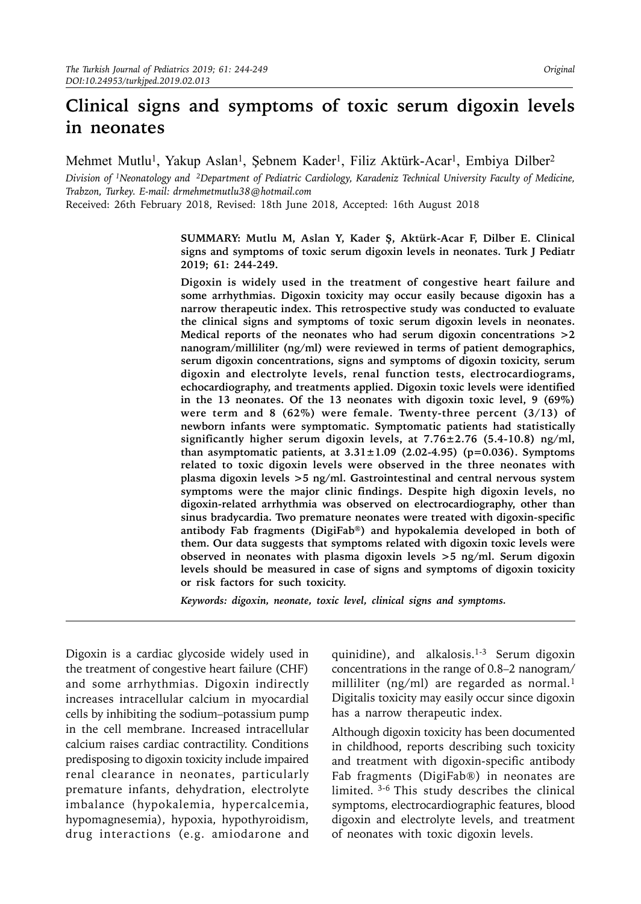# **Clinical signs and symptoms of toxic serum digoxin levels in neonates**

Mehmet Mutlu<sup>1</sup>, Yakup Aslan<sup>1</sup>, Şebnem Kader<sup>1</sup>, Filiz Aktürk-Acar<sup>1</sup>, Embiya Dilber<sup>2</sup>

*Division of 1Neonatology and 2Department of Pediatric Cardiology, Karadeniz Technical University Faculty of Medicine, Trabzon, Turkey. E-mail: [drmehmetmutlu38@hotmail.com](mailto:drmehmetmutlu38@hotmail.com)*

Received: 26th February 2018, Revised: 18th June 2018, Accepted: 16th August 2018

**SUMMARY: Mutlu M, Aslan Y, Kader Ş, Aktürk-Acar F, Dilber E. Clinical signs and symptoms of toxic serum digoxin levels in neonates. Turk J Pediatr 2019; 61: 244-249.**

**Digoxin is widely used in the treatment of congestive heart failure and some arrhythmias. Digoxin toxicity may occur easily because digoxin has a narrow therapeutic index. This retrospective study was conducted to evaluate the clinical signs and symptoms of toxic serum digoxin levels in neonates. Medical reports of the neonates who had serum digoxin concentrations >2 nanogram/milliliter (ng/ml) were reviewed in terms of patient demographics, serum digoxin concentrations, signs and symptoms of digoxin toxicity, serum digoxin and electrolyte levels, renal function tests, electrocardiograms, echocardiography, and treatments applied. Digoxin toxic levels were identified in the 13 neonates. Of the 13 neonates with digoxin toxic level, 9 (69%) were term and 8 (62%) were female. Twenty-three percent (3/13) of newborn infants were symptomatic. Symptomatic patients had statistically significantly higher serum digoxin levels, at 7.76±2.76 (5.4-10.8) ng/ml, than asymptomatic patients, at 3.31±1.09 (2.02-4.95) (p=0.036). Symptoms related to toxic digoxin levels were observed in the three neonates with plasma digoxin levels >5 ng/ml. Gastrointestinal and central nervous system symptoms were the major clinic findings. Despite high digoxin levels, no digoxin-related arrhythmia was observed on electrocardiography, other than sinus bradycardia. Two premature neonates were treated with digoxin-specific antibody Fab fragments (DigiFab®) and hypokalemia developed in both of them. Our data suggests that symptoms related with digoxin toxic levels were observed in neonates with plasma digoxin levels >5 ng/ml. Serum digoxin levels should be measured in case of signs and symptoms of digoxin toxicity or risk factors for such toxicity.**

*Keywords: digoxin, neonate, toxic level, clinical signs and symptoms.*

Digoxin is a cardiac glycoside widely used in the treatment of congestive heart failure (CHF) and some arrhythmias. Digoxin indirectly increases intracellular calcium in myocardial cells by inhibiting the sodium–potassium pump in the cell membrane. Increased intracellular calcium raises cardiac contractility. Conditions predisposing to digoxin toxicity include impaired renal clearance in neonates, particularly premature infants, dehydration, electrolyte imbalance (hypokalemia, hypercalcemia, hypomagnesemia), hypoxia, hypothyroidism, drug interactions (e.g. amiodarone and quinidine), and alkalosis.1-3 Serum digoxin concentrations in the range of 0.8–2 nanogram/ milliliter (ng/ml) are regarded as normal.<sup>1</sup> Digitalis toxicity may easily occur since digoxin has a narrow therapeutic index.

Although digoxin toxicity has been documented in childhood, reports describing such toxicity and treatment with digoxin-specific antibody Fab fragments (DigiFab®) in neonates are limited. 3-6 This study describes the clinical symptoms, electrocardiographic features, blood digoxin and electrolyte levels, and treatment of neonates with toxic digoxin levels.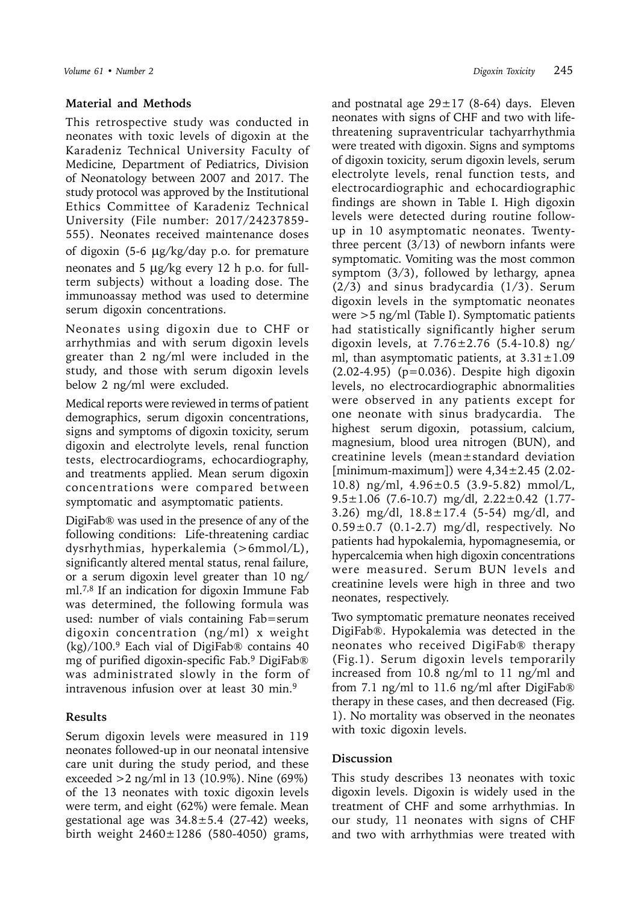## **Material and Methods**

This retrospective study was conducted in neonates with toxic levels of digoxin at the Karadeniz Technical University Faculty of Medicine*,* Department of Pediatrics, Division of Neonatology between 2007 and 2017. The study protocol was approved by the Institutional Ethics Committee of Karadeniz Technical University (File number: 2017/24237859- 555). Neonates received maintenance doses of digoxin (5-6  $\mu$ g/kg/day p.o. for premature neonates and  $5 \mu g/kg$  every 12 h p.o. for fullterm subjects) without a loading dose. The immunoassay method was used to determine serum digoxin concentrations.

Neonates using digoxin due to CHF or arrhythmias and with serum digoxin levels greater than 2 ng/ml were included in the study, and those with serum digoxin levels below 2 ng/ml were excluded.

Medical reports were reviewed in terms of patient demographics, serum digoxin concentrations, signs and symptoms of digoxin toxicity, serum digoxin and electrolyte levels, renal function tests, electrocardiograms, echocardiography, and treatments applied. Mean serum digoxin concentrations were compared between symptomatic and asymptomatic patients.

DigiFab® was used in the presence of any of the following conditions: Life-threatening cardiac dysrhythmias, hyperkalemia (>6mmol/L), significantly altered mental status, renal failure, or a serum digoxin level greater than 10 ng/ ml.7,8 If an indication for digoxin Immune Fab was determined, the following formula was used: number of vials containing Fab=serum digoxin concentration (ng/ml) x weight  $(kg)/100$ .<sup>9</sup> Each vial of DigiFab® contains 40 mg of purified digoxin-specific Fab.9 DigiFab® was administrated slowly in the form of intravenous infusion over at least 30 min.<sup>9</sup>

# **Results**

Serum digoxin levels were measured in 119 neonates followed-up in our neonatal intensive care unit during the study period, and these exceeded >2 ng/ml in 13 (10.9%). Nine (69%) of the 13 neonates with toxic digoxin levels were term, and eight (62%) were female. Mean gestational age was  $34.8 \pm 5.4$  (27-42) weeks, birth weight  $2460 \pm 1286$  (580-4050) grams, and postnatal age  $29 \pm 17$  (8-64) days. Eleven neonates with signs of CHF and two with lifethreatening supraventricular tachyarrhythmia were treated with digoxin. Signs and symptoms of digoxin toxicity, serum digoxin levels, serum electrolyte levels, renal function tests, and electrocardiographic and echocardiographic findings are shown in Table I. High digoxin levels were detected during routine followup in 10 asymptomatic neonates. Twentythree percent (3/13) of newborn infants were symptomatic. Vomiting was the most common symptom (3/3), followed by lethargy, apnea (2/3) and sinus bradycardia (1/3). Serum digoxin levels in the symptomatic neonates were >5 ng/ml (Table I). Symptomatic patients had statistically significantly higher serum digoxin levels, at  $7.76 \pm 2.76$  (5.4-10.8) ng/ ml, than asymptomatic patients, at  $3.31 \pm 1.09$ (2.02-4.95) (p=0.036). Despite high digoxin levels, no electrocardiographic abnormalities were observed in any patients except for one neonate with sinus bradycardia. The highest serum digoxin, potassium, calcium, magnesium, blood urea nitrogen (BUN), and creatinine levels (mean±standard deviation [minimum-maximum]) were 4,34±2.45 (2.02- 10.8) ng/ml, 4.96±0.5 (3.9-5.82) mmol/L,  $9.5 \pm 1.06$  (7.6-10.7) mg/dl,  $2.22 \pm 0.42$  (1.77-3.26) mg/dl, 18.8±17.4 (5-54) mg/dl, and  $0.59\pm0.7$  (0.1-2.7) mg/dl, respectively. No patients had hypokalemia, hypomagnesemia, or hypercalcemia when high digoxin concentrations were measured. Serum BUN levels and creatinine levels were high in three and two neonates, respectively.

Two symptomatic premature neonates received DigiFab®. Hypokalemia was detected in the neonates who received DigiFab® therapy (Fig.1). Serum digoxin levels temporarily increased from 10.8 ng/ml to 11 ng/ml and from 7.1 ng/ml to 11.6 ng/ml after DigiFab® therapy in these cases, and then decreased (Fig. 1). No mortality was observed in the neonates with toxic digoxin levels.

### **Discussion**

This study describes 13 neonates with toxic digoxin levels. Digoxin is widely used in the treatment of CHF and some arrhythmias. In our study, 11 neonates with signs of CHF and two with arrhythmias were treated with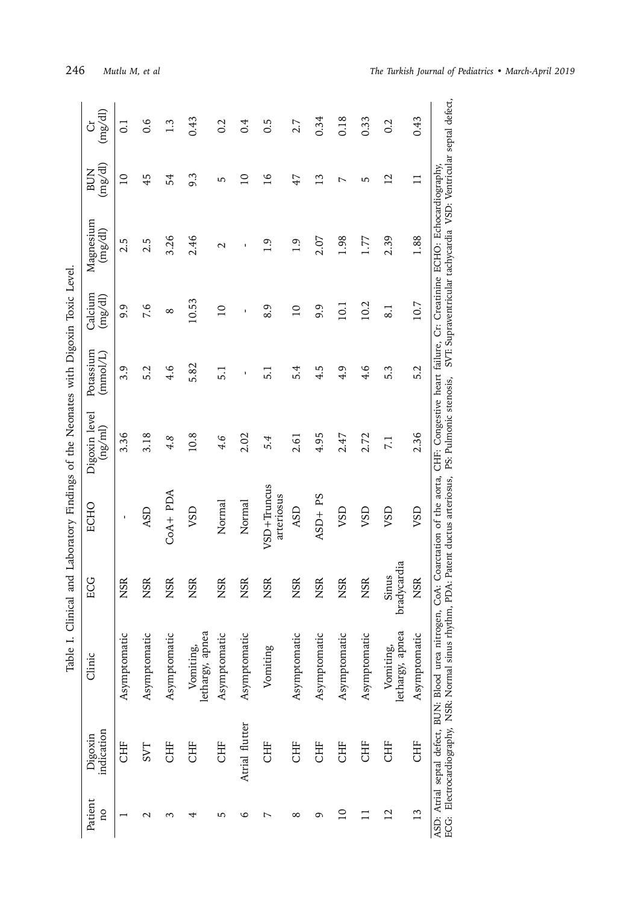| .<br>$\frac{1}{2}$                                                                                                                                                                                                                  |  |
|-------------------------------------------------------------------------------------------------------------------------------------------------------------------------------------------------------------------------------------|--|
|                                                                                                                                                                                                                                     |  |
| ֦֦֦֦֪֪֦֦֪֧֧֪֪֚֚֝֝֝֬֝֝֬֝֝֬֝֓֝֝֬֝֝֬֝֝֝֝֝֝֬֝֝֝֝֝֝֓֝֝֓֝֬֝֝֓֝֬֝֝֝֝֝֝֝֝<br>֧֧֧֧֚֚֚֚֚֚֚֚֚֚֚֚֚֚֚֚֚֝֝֝֝֝֝֝֬֝֝                                                                                                                                |  |
| ;<br>;<br>֦֚<br>i                                                                                                                                                                                                                   |  |
|                                                                                                                                                                                                                                     |  |
| j                                                                                                                                                                                                                                   |  |
| the contract of the collection of the collection of the collection of the collection of the collection of the collection of the collection of the collection of the collection of the collection of the collection of the coll<br>i |  |
|                                                                                                                                                                                                                                     |  |
| j                                                                                                                                                                                                                                   |  |
| :<br>:                                                                                                                                                                                                                              |  |
|                                                                                                                                                                                                                                     |  |
| I                                                                                                                                                                                                                                   |  |

| (mg/dl)<br>Ğ                                                            | $\overline{0}$  | 0.6              | $\frac{3}{2}$ | 0.43                         | 0.2              | 0.4            | 0.5                       | 2.7            | 0.34          | 0.18         | 0.33         | 0.2                          | 0.43          | SVT: Supraventricular tachycardia VSD: Ventricular septal defect,     |
|-------------------------------------------------------------------------|-----------------|------------------|---------------|------------------------------|------------------|----------------|---------------------------|----------------|---------------|--------------|--------------|------------------------------|---------------|-----------------------------------------------------------------------|
| (mg/dl)<br><b>BUN</b>                                                   | $\overline{10}$ | 45               | 54            | 9.3                          | 5                | $\Omega$       | $\frac{9}{1}$             | 47             | $\frac{3}{2}$ | L            | 5            | $\overline{2}$               | $\Box$        |                                                                       |
| Magnesium<br>(mg/dl)                                                    | 2.5             | 2.5              | 3.26          | 2.46                         | $\mathrel{\sim}$ | I,             | $\ddot{0}$                | 1.9            | 2.07          | 1.98         | 1.77         | 2.39                         | 1.88          | CHF: Congestive heart failure, Cr: Creatinine ECHO: Echocardiography, |
| Calcium<br>$\left( \mathrm{m} \mathrm{g}/\mathrm{d} \mathrm{l} \right)$ | 9.9             | 7.6              | $^{\circ}$    | 10.53                        | $\overline{a}$   | ı              | 8.9                       | $\overline{a}$ | 9.9           | 10.1         | 10.2         | $\approx$                    | 10.7          |                                                                       |
| Potassium<br>(mmol/L)                                                   | 3.9             | 5.2              | 4.6           | 5.82                         | 5.1              | ı              | 5.1                       | 5.4            | 4.5           | 4.9          | 4.6          | 5.3                          | 5.2           |                                                                       |
| Digoxin level<br>(ng/ml)                                                | 3.36            | 3.18             | 4.8           | 10.8                         | 4.6              | 2.02           | 5.4                       | 2.61           | 4.95          | 2.47         | 2.72         | 7.1                          | 2.36          | PS: Pulmonic stenosis,                                                |
| ECHO                                                                    | ı               | <b>ASD</b>       | $COA + PDA$   | VSD                          | Normal           | Normal         | VSD+Truncus<br>arteriosus | ASD            | $ASD+PS$      | <b>USD</b>   | <b>USV</b>   | VSD                          | VSD           | CoA: Coarctation of the aorta,<br>PDA: Patent ductus arteriosus,      |
| ECG                                                                     | <b>NSR</b>      | <b>NSR</b>       | <b>NSR</b>    | <b>NSR</b>                   | <b>NSR</b>       | <b>NSR</b>     | <b>NSR</b>                | <b>NSR</b>     | <b>NSR</b>    | <b>NSR</b>   | <b>NSR</b>   | adycardia<br>Sinus           | <b>NSR</b>    |                                                                       |
| Clinic                                                                  | Asymptomatic    | Asymptomatic     | Asymptomatic  | lethargy, apnea<br>Vomiting, | Asymptomatic     | Asymptomatic   | Vomiting                  | Asymptomatic   | Asymptomatic  | Asymptomatic | Asymptomatic | lethargy, apnea<br>Vomiting, | Asymptomatic  | ASD: Atrial septal defect, BUN: Blood urea nitrogen,                  |
| indication<br>Digoxin                                                   | <b>CHF</b>      | <b>LAS</b>       | <b>CHF</b>    | <b>CHF</b>                   | <b>CHF</b>       | Atrial flutter | <b>CHF</b>                | <b>CHF</b>     | <b>CHF</b>    | <b>CHF</b>   | <b>EHE</b>   | <b>CHF</b>                   | <b>CHF</b>    | ECG: Electrocardiography, NSR: Normal sinus rhythm,                   |
| Patient<br>$\overline{\Omega}$                                          |                 | $\mathrel{\sim}$ | ς             | 4                            | 5                | 6              | L                         | $^{\circ}$     | م             | $\Omega$     |              | $\overline{2}$               | $\frac{3}{2}$ |                                                                       |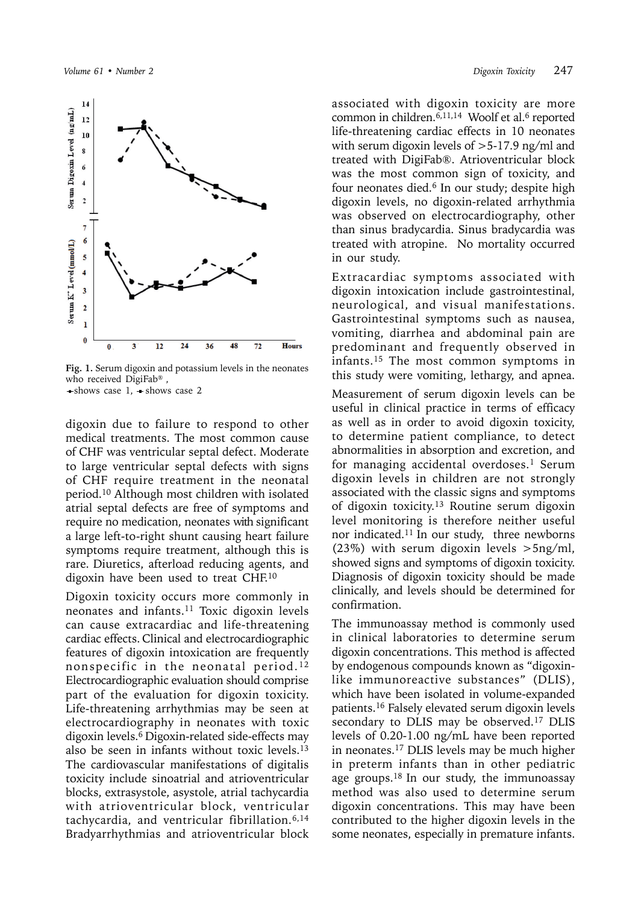

**Fig. 1.** Serum digoxin and potassium levels in the neonates who received DigiFab® ,  $\rightarrow$ shows case 1,  $\rightarrow$ shows case 2

digoxin due to failure to respond to other medical treatments. The most common cause of CHF was ventricular septal defect. Moderate to large ventricular septal defects with signs of CHF require treatment in the neonatal period.10 Although most children with isolated atrial septal defects are free of symptoms and require no medication, neonates with significant a large left-to-right shunt causing heart failure symptoms require treatment, although this is rare. Diuretics, afterload reducing agents, and digoxin have been used to treat CHF.10

Digoxin toxicity occurs more commonly in neonates and infants.11 Toxic digoxin levels can cause extracardiac and life-threatening cardiac effects. Clinical and electrocardiographic features of digoxin intoxication are frequently nonspecific in the neonatal period. <sup>12</sup> Electrocardiographic evaluation should comprise part of the evaluation for digoxin toxicity. Life-threatening arrhythmias may be seen at electrocardiography in neonates with toxic digoxin levels.<sup>6</sup> Digoxin-related side-effects may also be seen in infants without toxic levels.13 The cardiovascular manifestations of digitalis toxicity include sinoatrial and atrioventricular blocks, extrasystole, asystole, atrial tachycardia with atrioventricular block, ventricular tachycardia, and ventricular fibrillation.6,14 Bradyarrhythmias and atrioventricular block

associated with digoxin toxicity are more common in children. $6,11,14$  Woolf et al. $6$  reported life-threatening cardiac effects in 10 neonates with serum digoxin levels of >5-17.9 ng/ml and treated with DigiFab®. Atrioventricular block was the most common sign of toxicity, and four neonates died.<sup>6</sup> In our study; despite high digoxin levels, no digoxin-related arrhythmia was observed on electrocardiography, other than sinus bradycardia. Sinus bradycardia was treated with atropine. No mortality occurred in our study.

Extracardiac symptoms associated with digoxin intoxication include gastrointestinal, neurological, and visual manifestations. Gastrointestinal symptoms such as nausea, vomiting, diarrhea and abdominal pain are predominant and frequently observed in infants.15 The most common symptoms in this study were vomiting, lethargy, and apnea.

Measurement of serum digoxin levels can be useful in clinical practice in terms of efficacy as well as in order to avoid digoxin toxicity, to determine patient compliance, to detect abnormalities in absorption and excretion, and for managing accidental overdoses.<sup>1</sup> Serum digoxin levels in children are not strongly associated with the classic signs and symptoms of digoxin toxicity.13 Routine serum digoxin level monitoring is therefore neither useful nor indicated.11 In our study, three newborns (23%) with serum digoxin levels  $>5$ ng/ml, showed signs and symptoms of digoxin toxicity. Diagnosis of digoxin toxicity should be made clinically, and levels should be determined for confirmation.

The immunoassay method is commonly used in clinical laboratories to determine serum digoxin concentrations. This method is affected by endogenous compounds known as "digoxinlike immunoreactive substances" (DLIS), which have been isolated in volume-expanded patients. <sup>16</sup> Falsely elevated serum digoxin levels secondary to DLIS may be observed.<sup>17</sup> DLIS levels of 0.20-1.00 ng/mL have been reported in neonates.17 DLIS levels may be much higher in preterm infants than in other pediatric age groups. $18$  In our study, the immunoassay method was also used to determine serum digoxin concentrations. This may have been contributed to the higher digoxin levels in the some neonates, especially in premature infants.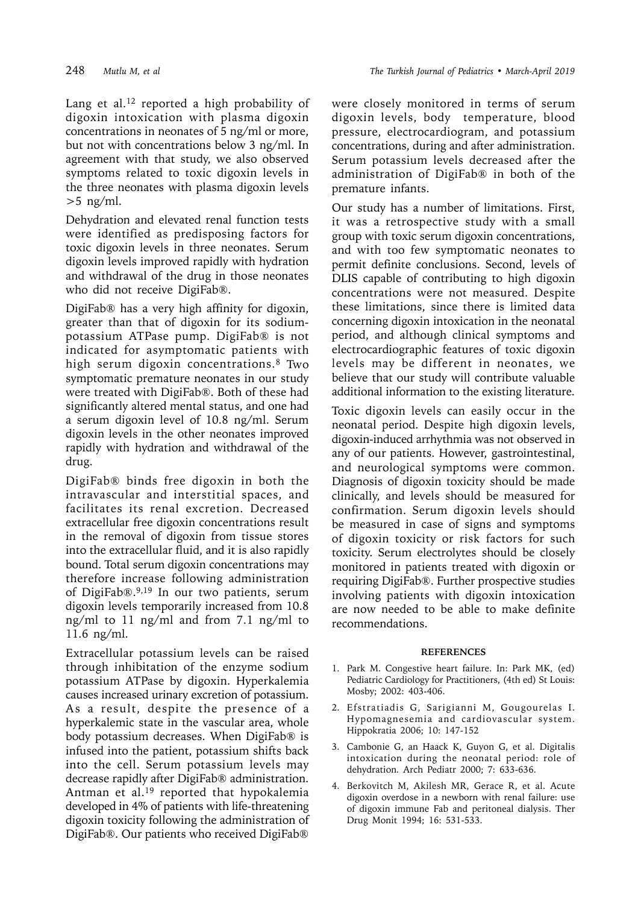Lang et al.<sup>12</sup> reported a high probability of digoxin intoxication with plasma digoxin concentrations in neonates of 5 ng/ml or more, but not with concentrations below 3 ng/ml. In agreement with that study, we also observed symptoms related to toxic digoxin levels in the three neonates with plasma digoxin levels  $>5$  ng/ml.

Dehydration and elevated renal function tests were identified as predisposing factors for toxic digoxin levels in three neonates. Serum digoxin levels improved rapidly with hydration and withdrawal of the drug in those neonates who did not receive DigiFab®.

DigiFab® has a very high affinity for digoxin, greater than that of digoxin for its sodiumpotassium ATPase pump. DigiFab® is not indicated for asymptomatic patients with high serum digoxin concentrations.8 Two symptomatic premature neonates in our study were treated with DigiFab®. Both of these had significantly altered mental status, and one had a serum digoxin level of 10.8 ng/ml. Serum digoxin levels in the other neonates improved rapidly with hydration and withdrawal of the drug.

DigiFab® binds free digoxin in both the intravascular and interstitial spaces, and facilitates its renal excretion. Decreased extracellular free digoxin concentrations result in the removal of digoxin from tissue stores into the extracellular fluid, and it is also rapidly bound. Total serum digoxin concentrations may therefore increase following administration of DigiFab®.9,19 In our two patients, serum digoxin levels temporarily increased from 10.8 ng/ml to 11 ng/ml and from 7.1 ng/ml to 11.6 ng/ml.

Extracellular potassium levels can be raised through inhibitation of the enzyme sodium potassium ATPase by digoxin. Hyperkalemia causes increased urinary excretion of potassium. As a result, despite the presence of a hyperkalemic state in the vascular area, whole body potassium decreases. When DigiFab® is infused into the patient, potassium shifts back into the cell. Serum potassium levels may decrease rapidly after DigiFab® administration. Antman et al.<sup>19</sup> reported that hypokalemia developed in 4% of patients with life-threatening digoxin toxicity following the administration of DigiFab®. Our patients who received DigiFab®

were closely monitored in terms of serum digoxin levels, body temperature, blood pressure, electrocardiogram, and potassium concentrations, during and after administration. Serum potassium levels decreased after the administration of DigiFab® in both of the premature infants.

Our study has a number of limitations. First, it was a retrospective study with a small group with toxic serum digoxin concentrations, and with too few symptomatic neonates to permit definite conclusions. Second, levels of DLIS capable of contributing to high digoxin concentrations were not measured. Despite these limitations, since there is limited data concerning digoxin intoxication in the neonatal period, and although clinical symptoms and electrocardiographic features of toxic digoxin levels may be different in neonates, we believe that our study will contribute valuable additional information to the existing literature.

Toxic digoxin levels can easily occur in the neonatal period. Despite high digoxin levels, digoxin-induced arrhythmia was not observed in any of our patients. However, gastrointestinal, and neurological symptoms were common. Diagnosis of digoxin toxicity should be made clinically, and levels should be measured for confirmation. Serum digoxin levels should be measured in case of signs and symptoms of digoxin toxicity or risk factors for such toxicity. Serum electrolytes should be closely monitored in patients treated with digoxin or requiring DigiFab®. Further prospective studies involving patients with digoxin intoxication are now needed to be able to make definite recommendations.

#### **REFERENCES**

- 1. Park M. Congestive heart failure. In: Park MK, (ed) Pediatric Cardiology for Practitioners, (4th ed) St Louis: Mosby; 2002: 403-406.
- 2. Efstratiadis G, Sarigianni M, Gougourelas I. Hypomagnesemia and cardiovascular system. Hippokratia 2006; 10: 147-152
- 3. Cambonie G, an Haack K, Guyon G, et al. Digitalis intoxication during the neonatal period: role of dehydration. Arch Pediatr 2000; 7: 633-636.
- 4. Berkovitch M, Akilesh MR, Gerace R, et al. Acute digoxin overdose in a newborn with renal failure: use of digoxin immune Fab and peritoneal dialysis. Ther Drug Monit 1994; 16: 531-533.